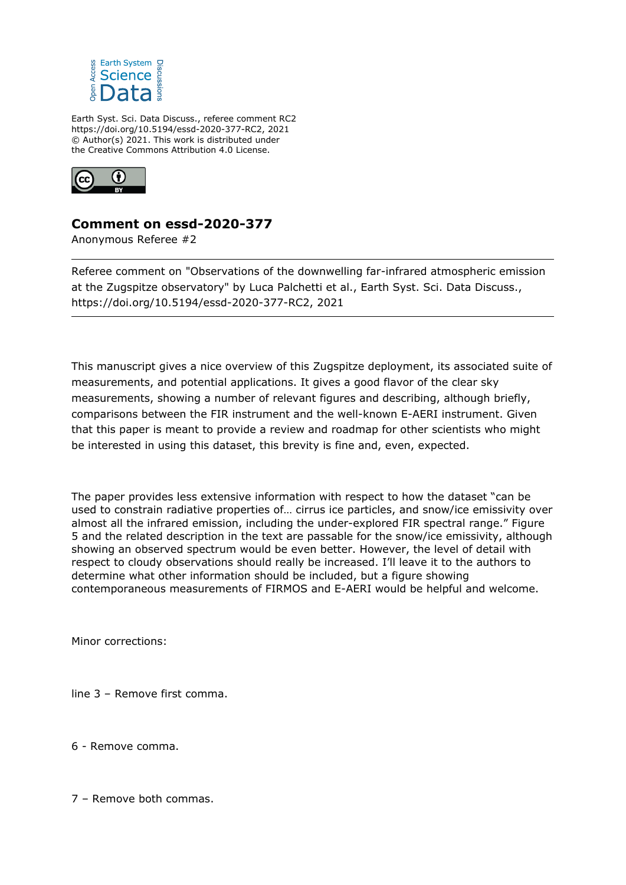

Earth Syst. Sci. Data Discuss., referee comment RC2 https://doi.org/10.5194/essd-2020-377-RC2, 2021 © Author(s) 2021. This work is distributed under the Creative Commons Attribution 4.0 License.



## **Comment on essd-2020-377**

Anonymous Referee #2

Referee comment on "Observations of the downwelling far-infrared atmospheric emission at the Zugspitze observatory" by Luca Palchetti et al., Earth Syst. Sci. Data Discuss., https://doi.org/10.5194/essd-2020-377-RC2, 2021

This manuscript gives a nice overview of this Zugspitze deployment, its associated suite of measurements, and potential applications. It gives a good flavor of the clear sky measurements, showing a number of relevant figures and describing, although briefly, comparisons between the FIR instrument and the well-known E-AERI instrument. Given that this paper is meant to provide a review and roadmap for other scientists who might be interested in using this dataset, this brevity is fine and, even, expected.

The paper provides less extensive information with respect to how the dataset "can be used to constrain radiative properties of… cirrus ice particles, and snow/ice emissivity over almost all the infrared emission, including the under-explored FIR spectral range." Figure 5 and the related description in the text are passable for the snow/ice emissivity, although showing an observed spectrum would be even better. However, the level of detail with respect to cloudy observations should really be increased. I'll leave it to the authors to determine what other information should be included, but a figure showing contemporaneous measurements of FIRMOS and E-AERI would be helpful and welcome.

Minor corrections:

line 3 – Remove first comma.

- 6 Remove comma.
- 7 Remove both commas.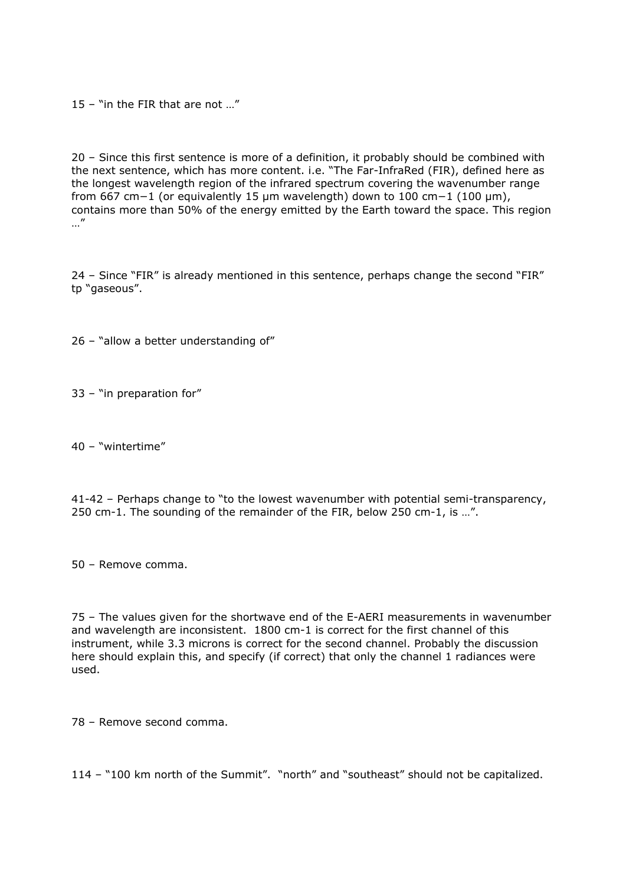15 – "in the FIR that are not …"

20 – Since this first sentence is more of a definition, it probably should be combined with the next sentence, which has more content. i.e. "The Far-InfraRed (FIR), defined here as the longest wavelength region of the infrared spectrum covering the wavenumber range from 667 cm−1 (or equivalently 15 μm wavelength) down to 100 cm−1 (100 μm), contains more than 50% of the energy emitted by the Earth toward the space. This region …"

24 – Since "FIR" is already mentioned in this sentence, perhaps change the second "FIR" tp "gaseous".

26 – "allow a better understanding of"

33 – "in preparation for"

40 – "wintertime"

41-42 – Perhaps change to "to the lowest wavenumber with potential semi-transparency, 250 cm-1. The sounding of the remainder of the FIR, below 250 cm-1, is …".

50 – Remove comma.

75 – The values given for the shortwave end of the E-AERI measurements in wavenumber and wavelength are inconsistent. 1800 cm-1 is correct for the first channel of this instrument, while 3.3 microns is correct for the second channel. Probably the discussion here should explain this, and specify (if correct) that only the channel 1 radiances were used.

78 – Remove second comma.

114 – "100 km north of the Summit". "north" and "southeast" should not be capitalized.